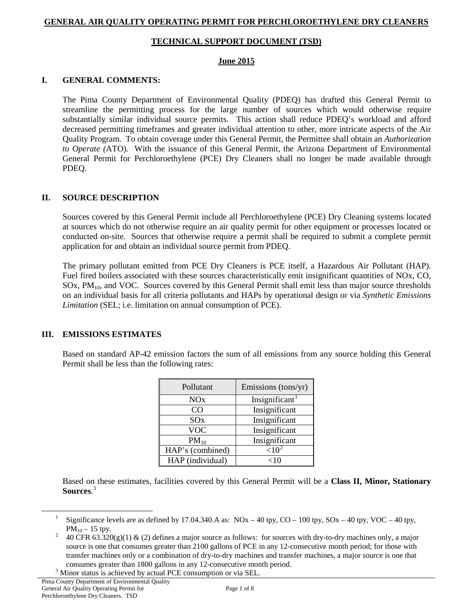# **GENERAL AIR QUALITY OPERATING PERMIT FOR PERCHLOROETHYLENE DRY CLEANERS**

## **TECHNICAL SUPPORT DOCUMENT (TSD)**

#### **June 2015**

### **I. GENERAL COMMENTS:**

The Pima County Department of Environmental Quality (PDEQ) has drafted this General Permit to streamline the permitting process for the large number of sources which would otherwise require substantially similar individual source permits. This action shall reduce PDEQ's workload and afford decreased permitting timeframes and greater individual attention to other, more intricate aspects of the Air Quality Program. To obtain coverage under this General Permit, the Permittee shall obtain an *Authorization to Operate (*ATO). With the issuance of this General Permit, the Arizona Department of Environmental General Permit for Perchloroethylene (PCE) Dry Cleaners shall no longer be made available through PDEQ.

## **II. SOURCE DESCRIPTION**

Sources covered by this General Permit include all Perchloroethylene (PCE) Dry Cleaning systems located at sources which do not otherwise require an air quality permit for other equipment or processes located or conducted on-site. Sources that otherwise require a permit shall be required to submit a complete permit application for and obtain an individual source permit from PDEQ.

The primary pollutant emitted from PCE Dry Cleaners is PCE itself, a Hazardous Air Pollutant (HAP). Fuel fired boilers associated with these sources characteristically emit insignificant quantities of NOx, CO, SOx, PM10, and VOC. Sources covered by this General Permit shall emit less than major source thresholds on an individual basis for all criteria pollutants and HAPs by operational design or via *Synthetic Emissions Limitation* (SEL; i.e. limitation on annual consumption of PCE).

# **III. EMISSIONS ESTIMATES**

Based on standard AP-42 emission factors the sum of all emissions from any source holding this General Permit shall be less than the following rates:

| Pollutant             | Emissions (tons/yr) |
|-----------------------|---------------------|
| <b>NO<sub>x</sub></b> | Insignificant       |
| CO                    | Insignificant       |
| SO <sub>x</sub>       | Insignificant       |
| <b>VOC</b>            | Insignificant       |
| $PM_{10}$             | Insignificant       |
| HAP's (combined)      | ${<}10$             |
| HAP (individual)      | 10>                 |

Based on these estimates, facilities covered by this General Permit will be a **Class II, Minor, Stationary Sources**. [3](#page-0-2)

<span id="page-0-1"></span><span id="page-0-0"></span> $\overline{a}$ 

Significance levels are as defined by 17.04.340.A as:  $NOx - 40$  tpy,  $CO - 100$  tpy,  $SOx - 40$  tpy,  $VOC - 40$  tpy,

PM<sub>10</sub> – 15 tpy.<br>40 CFR 63.320(g)(1) & (2) defines a major source as follows: for sources with dry-to-dry machines only, a major source is one that consumes greater than 2100 gallons of PCE in any 12-consecutive month period; for those with transfer machines only or a combination of dry-to-dry machines and transfer machines, a major source is one that consumes greater than 1800 gallons in any 12-consecutive month period. <sup>3</sup> Minor status is achieved by actual PCE consumption or via SEL.

<span id="page-0-2"></span>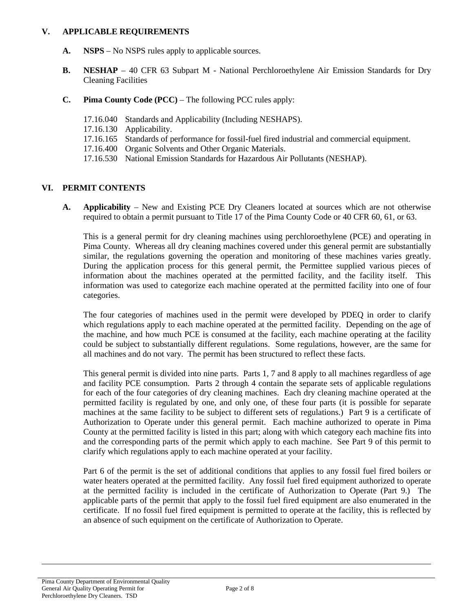#### **V. APPLICABLE REQUIREMENTS**

- **A. NSPS** No NSPS rules apply to applicable sources.
- **B. NESHAP** 40 CFR 63 Subpart M National Perchloroethylene Air Emission Standards for Dry Cleaning Facilities
- **C. Pima County Code (PCC)**  The following PCC rules apply:
	- 17.16.040 Standards and Applicability (Including NESHAPS).
	- 17.16.130 Applicability.
	- 17.16.165 Standards of performance for fossil-fuel fired industrial and commercial equipment.
	- 17.16.400 Organic Solvents and Other Organic Materials.
	- 17.16.530 National Emission Standards for Hazardous Air Pollutants (NESHAP).

#### **VI. PERMIT CONTENTS**

**A. Applicability** – New and Existing PCE Dry Cleaners located at sources which are not otherwise required to obtain a permit pursuant to Title 17 of the Pima County Code or 40 CFR 60, 61, or 63.

This is a general permit for dry cleaning machines using perchloroethylene (PCE) and operating in Pima County. Whereas all dry cleaning machines covered under this general permit are substantially similar, the regulations governing the operation and monitoring of these machines varies greatly. During the application process for this general permit, the Permittee supplied various pieces of information about the machines operated at the permitted facility, and the facility itself. This information was used to categorize each machine operated at the permitted facility into one of four categories.

The four categories of machines used in the permit were developed by PDEQ in order to clarify which regulations apply to each machine operated at the permitted facility. Depending on the age of the machine, and how much PCE is consumed at the facility, each machine operating at the facility could be subject to substantially different regulations. Some regulations, however, are the same for all machines and do not vary. The permit has been structured to reflect these facts.

This general permit is divided into nine parts. Parts 1, 7 and 8 apply to all machines regardless of age and facility PCE consumption. Parts 2 through 4 contain the separate sets of applicable regulations for each of the four categories of dry cleaning machines. Each dry cleaning machine operated at the permitted facility is regulated by one, and only one, of these four parts (it is possible for separate machines at the same facility to be subject to different sets of regulations.) Part 9 is a certificate of Authorization to Operate under this general permit. Each machine authorized to operate in Pima County at the permitted facility is listed in this part; along with which category each machine fits into and the corresponding parts of the permit which apply to each machine. See Part 9 of this permit to clarify which regulations apply to each machine operated at your facility.

Part 6 of the permit is the set of additional conditions that applies to any fossil fuel fired boilers or water heaters operated at the permitted facility. Any fossil fuel fired equipment authorized to operate at the permitted facility is included in the certificate of Authorization to Operate (Part 9.) The applicable parts of the permit that apply to the fossil fuel fired equipment are also enumerated in the certificate. If no fossil fuel fired equipment is permitted to operate at the facility, this is reflected by an absence of such equipment on the certificate of Authorization to Operate.

 $\overline{a}$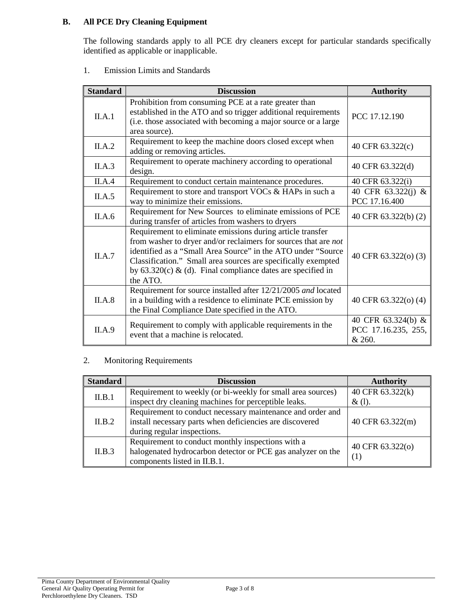# **B. All PCE Dry Cleaning Equipment**

The following standards apply to all PCE dry cleaners except for particular standards specifically identified as applicable or inapplicable.

1. Emission Limits and Standards

| <b>Standard</b> | <b>Discussion</b>                                                                                                                                                                                                                                                                                                                           | <b>Authority</b>                                    |
|-----------------|---------------------------------------------------------------------------------------------------------------------------------------------------------------------------------------------------------------------------------------------------------------------------------------------------------------------------------------------|-----------------------------------------------------|
| II.A.1          | Prohibition from consuming PCE at a rate greater than<br>established in the ATO and so trigger additional requirements<br>(i.e. those associated with becoming a major source or a large<br>area source).                                                                                                                                   | PCC 17.12.190                                       |
| II.A.2          | Requirement to keep the machine doors closed except when<br>adding or removing articles.                                                                                                                                                                                                                                                    | 40 CFR 63.322(c)                                    |
| II.A.3          | Requirement to operate machinery according to operational<br>design.                                                                                                                                                                                                                                                                        | 40 CFR 63.322(d)                                    |
| II.A.4          | Requirement to conduct certain maintenance procedures.                                                                                                                                                                                                                                                                                      | 40 CFR 63.322(i)                                    |
| II.A.5          | Requirement to store and transport VOCs & HAPs in such a<br>way to minimize their emissions.                                                                                                                                                                                                                                                | 40 CFR 63.322(j) &<br>PCC 17.16.400                 |
| II.A.6          | Requirement for New Sources to eliminate emissions of PCE<br>during transfer of articles from washers to dryers                                                                                                                                                                                                                             | 40 CFR 63.322(b) (2)                                |
| II.A.7          | Requirement to eliminate emissions during article transfer<br>from washer to dryer and/or reclaimers for sources that are not<br>identified as a "Small Area Source" in the ATO under "Source<br>Classification." Small area sources are specifically exempted<br>by $63.320(c)$ & (d). Final compliance dates are specified in<br>the ATO. | 40 CFR 63.322(o) (3)                                |
| II.A.8          | Requirement for source installed after 12/21/2005 and located<br>in a building with a residence to eliminate PCE emission by<br>the Final Compliance Date specified in the ATO.                                                                                                                                                             | 40 CFR 63.322(o) (4)                                |
| II.A.9          | Requirement to comply with applicable requirements in the<br>event that a machine is relocated.                                                                                                                                                                                                                                             | 40 CFR 63.324(b) &<br>PCC 17.16.235, 255,<br>& 260. |

#### 2. Monitoring Requirements

| <b>Standard</b> | <b>Discussion</b>                                                                                                                                     | <b>Authority</b>              |
|-----------------|-------------------------------------------------------------------------------------------------------------------------------------------------------|-------------------------------|
| II.B.1          | Requirement to weekly (or bi-weekly for small area sources)<br>inspect dry cleaning machines for perceptible leaks.                                   | 40 CFR 63.322(k)<br>$\&$ (1). |
| II.B.2          | Requirement to conduct necessary maintenance and order and<br>install necessary parts when deficiencies are discovered<br>during regular inspections. | 40 CFR 63.322(m)              |
| II.B.3          | Requirement to conduct monthly inspections with a<br>halogenated hydrocarbon detector or PCE gas analyzer on the<br>components listed in II.B.1.      | 40 CFR 63.322(o)<br>(1)       |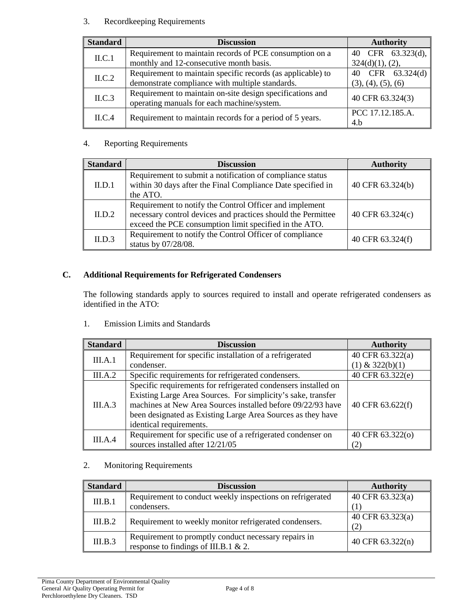## 3. Recordkeeping Requirements

| <b>Standard</b> | <b>Discussion</b>                                                                                       | <b>Authority</b>   |
|-----------------|---------------------------------------------------------------------------------------------------------|--------------------|
| ILC.1           | Requirement to maintain records of PCE consumption on a                                                 | 40 CFR 63.323(d),  |
|                 | monthly and 12-consecutive month basis.                                                                 | 324(d)(1), (2),    |
| ILC.2           | Requirement to maintain specific records (as applicable) to                                             | 40 CFR 63.324(d)   |
|                 | demonstrate compliance with multiple standards.                                                         | (3), (4), (5), (6) |
| ILC.3           | Requirement to maintain on-site design specifications and<br>operating manuals for each machine/system. | 40 CFR 63.324(3)   |
| ILC.4           | Requirement to maintain records for a period of 5 years.                                                | PCC 17.12.185.A.   |
|                 |                                                                                                         | 4.b                |

## 4. Reporting Requirements

| <b>Standard</b> | <b>Discussion</b>                                                                                                                                                                 | <b>Authority</b> |
|-----------------|-----------------------------------------------------------------------------------------------------------------------------------------------------------------------------------|------------------|
| II.D.1          | Requirement to submit a notification of compliance status<br>within 30 days after the Final Compliance Date specified in<br>the ATO.                                              | 40 CFR 63.324(b) |
| II.D.2          | Requirement to notify the Control Officer and implement<br>necessary control devices and practices should the Permittee<br>exceed the PCE consumption limit specified in the ATO. | 40 CFR 63.324(c) |
| ILD.3           | Requirement to notify the Control Officer of compliance<br>status by 07/28/08.                                                                                                    | 40 CFR 63.324(f) |

# **C. Additional Requirements for Refrigerated Condensers**

The following standards apply to sources required to install and operate refrigerated condensers as identified in the ATO:

1. Emission Limits and Standards

| <b>Standard</b> | <b>Discussion</b>                                              | <b>Authority</b>  |
|-----------------|----------------------------------------------------------------|-------------------|
| III.A.1         | Requirement for specific installation of a refrigerated        | 40 CFR 63.322(a)  |
|                 | condenser.                                                     | $(1)$ & 322(b)(1) |
| III.A.2         | Specific requirements for refrigerated condensers.             | 40 CFR 63.322(e)  |
|                 | Specific requirements for refrigerated condensers installed on |                   |
|                 | Existing Large Area Sources. For simplicity's sake, transfer   |                   |
| III.A.3         | machines at New Area Sources installed before 09/22/93 have    | 40 CFR 63.622(f)  |
|                 | been designated as Existing Large Area Sources as they have    |                   |
|                 | identical requirements.                                        |                   |
| III.A.4         | Requirement for specific use of a refrigerated condenser on    | 40 CFR 63.322(o)  |
|                 | sources installed after 12/21/05                               | (2)               |

#### 2. Monitoring Requirements

| <b>Standard</b> | <b>Discussion</b>                                                                            | <b>Authority</b>        |
|-----------------|----------------------------------------------------------------------------------------------|-------------------------|
| III.B.1         | Requirement to conduct weekly inspections on refrigerated<br>condensers.                     | 40 CFR 63.323(a)        |
| III.B.2         | Requirement to weekly monitor refrigerated condensers.                                       | 40 CFR 63.323(a)<br>(2) |
| III.B.3         | Requirement to promptly conduct necessary repairs in<br>response to findings of III.B.1 & 2. | 40 CFR 63.322(n)        |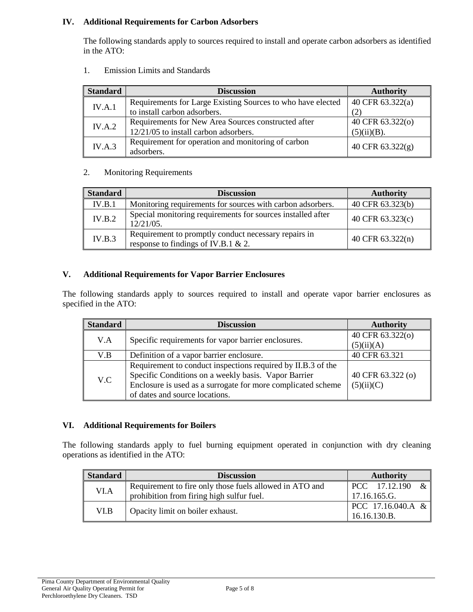### **IV. Additional Requirements for Carbon Adsorbers**

The following standards apply to sources required to install and operate carbon adsorbers as identified in the ATO:

| <b>Standard</b> | <b>Discussion</b>                                           | <b>Authority</b> |
|-----------------|-------------------------------------------------------------|------------------|
| IV.A.1          | Requirements for Large Existing Sources to who have elected | 40 CFR 63.322(a) |
|                 | to install carbon adsorbers.                                | (2)              |
| IV.A.2          | Requirements for New Area Sources constructed after         | 40 CFR 63.322(o) |
|                 | 12/21/05 to install carbon adsorbers.                       | (5)(ii)(B).      |
| IV.A.3          | Requirement for operation and monitoring of carbon          | 40 CFR 63.322(g) |
|                 | adsorbers.                                                  |                  |

1. Emission Limits and Standards

#### 2. Monitoring Requirements

| <b>Standard</b> | <b>Discussion</b>                                                                           | <b>Authority</b>              |
|-----------------|---------------------------------------------------------------------------------------------|-------------------------------|
| IV.B.1          | Monitoring requirements for sources with carbon adsorbers.                                  | 40 CFR $\overline{63.323(b)}$ |
| IV.B.2          | Special monitoring requirements for sources installed after<br>$12/21/05$ .                 | 40 CFR 63.323(c)              |
| IV.B.3          | Requirement to promptly conduct necessary repairs in<br>response to findings of IV.B.1 & 2. | 40 CFR 63.322(n)              |

#### **V. Additional Requirements for Vapor Barrier Enclosures**

The following standards apply to sources required to install and operate vapor barrier enclosures as specified in the ATO:

| <b>Standard</b> | <b>Discussion</b>                                            | <b>Authority</b>  |
|-----------------|--------------------------------------------------------------|-------------------|
| V.A             | Specific requirements for vapor barrier enclosures.          | 40 CFR 63.322(o)  |
|                 |                                                              | (5)(ii)(A)        |
| V.B             | Definition of a vapor barrier enclosure.                     | 40 CFR 63.321     |
| V.C             | Requirement to conduct inspections required by II.B.3 of the |                   |
|                 | Specific Conditions on a weekly basis. Vapor Barrier         | 40 CFR 63.322 (o) |
|                 | Enclosure is used as a surrogate for more complicated scheme | (5)(ii)(C)        |
|                 | of dates and source locations.                               |                   |

#### **VI. Additional Requirements for Boilers**

The following standards apply to fuel burning equipment operated in conjunction with dry cleaning operations as identified in the ATO:

| <b>Standard</b> | <b>Discussion</b>                                       | <b>Authority</b>    |
|-----------------|---------------------------------------------------------|---------------------|
| VI.A            | Requirement to fire only those fuels allowed in ATO and | PCC 17.12.190<br>&  |
|                 | prohibition from firing high sulfur fuel.               | 17.16.165.G.        |
| VI.B            | Opacity limit on boiler exhaust.                        | $PCC$ 17.16.040.A & |
|                 |                                                         | 16.16.130.B.        |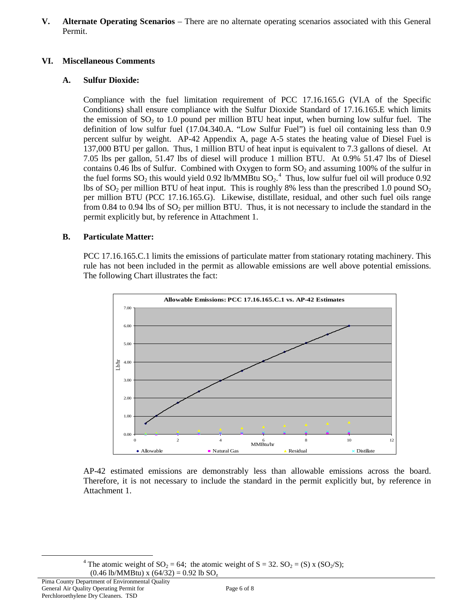**V. Alternate Operating Scenarios** – There are no alternate operating scenarios associated with this General Permit.

#### **VI. Miscellaneous Comments**

# **A. Sulfur Dioxide:**

Compliance with the fuel limitation requirement of PCC 17.16.165.G (VI.A of the Specific Conditions) shall ensure compliance with the Sulfur Dioxide Standard of 17.16.165.E which limits the emission of  $SO<sub>2</sub>$  to 1.0 pound per million BTU heat input, when burning low sulfur fuel. The definition of low sulfur fuel (17.04.340.A. "Low Sulfur Fuel") is fuel oil containing less than 0.9 percent sulfur by weight. AP-42 Appendix A, page A-5 states the heating value of Diesel Fuel is 137,000 BTU per gallon. Thus, 1 million BTU of heat input is equivalent to 7.3 gallons of diesel. At 7.05 lbs per gallon, 51.47 lbs of diesel will produce 1 million BTU. At 0.9% 51.47 lbs of Diesel contains 0.46 lbs of Sulfur. Combined with Oxygen to form  $SO_2$  and assuming 100% of the sulfur in the fuel forms  $SO_2$  this would yield 0.92 lb/MMBtu  $SO_2$ .<sup>[4](#page-5-0)</sup> Thus, low sulfur fuel oil will produce 0.92 lbs of  $SO_2$  per million BTU of heat input. This is roughly 8% less than the prescribed 1.0 pound  $SO_2$ per million BTU (PCC 17.16.165.G). Likewise, distillate, residual, and other such fuel oils range from 0.84 to 0.94 lbs of  $SO<sub>2</sub>$  per million BTU. Thus, it is not necessary to include the standard in the permit explicitly but, by reference in Attachment 1.

# **B. Particulate Matter:**

PCC 17.16.165.C.1 limits the emissions of particulate matter from stationary rotating machinery. This rule has not been included in the permit as allowable emissions are well above potential emissions. The following Chart illustrates the fact:



AP-42 estimated emissions are demonstrably less than allowable emissions across the board. Therefore, it is not necessary to include the standard in the permit explicitly but, by reference in Attachment 1.

<span id="page-5-0"></span> $\overline{a}$ 

<sup>&</sup>lt;sup>4</sup> The atomic weight of SO<sub>2</sub> = 64; the atomic weight of S = 32. SO<sub>2</sub> = (S) x (SO<sub>2</sub>/S);  $(0.46 \text{ lb/MMBtu}) \times (64/32) = 0.92 \text{ lb SO}_7$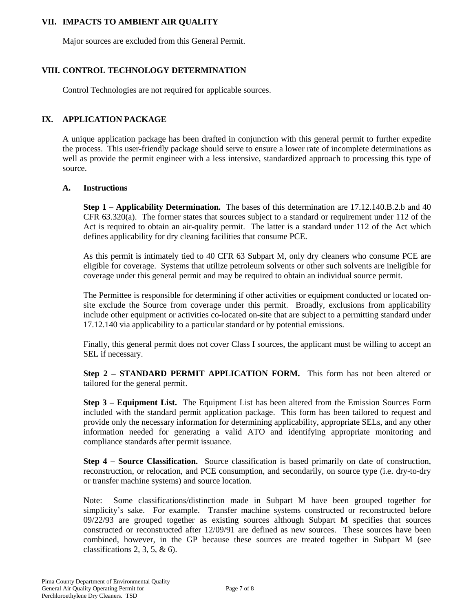### **VII. IMPACTS TO AMBIENT AIR QUALITY**

Major sources are excluded from this General Permit.

## **VIII. CONTROL TECHNOLOGY DETERMINATION**

Control Technologies are not required for applicable sources.

#### **IX. APPLICATION PACKAGE**

A unique application package has been drafted in conjunction with this general permit to further expedite the process. This user-friendly package should serve to ensure a lower rate of incomplete determinations as well as provide the permit engineer with a less intensive, standardized approach to processing this type of source.

#### **A. Instructions**

**Step 1 – Applicability Determination.** The bases of this determination are 17.12.140.B.2.b and 40 CFR 63.320(a). The former states that sources subject to a standard or requirement under 112 of the Act is required to obtain an air-quality permit. The latter is a standard under 112 of the Act which defines applicability for dry cleaning facilities that consume PCE.

As this permit is intimately tied to 40 CFR 63 Subpart M, only dry cleaners who consume PCE are eligible for coverage. Systems that utilize petroleum solvents or other such solvents are ineligible for coverage under this general permit and may be required to obtain an individual source permit.

The Permittee is responsible for determining if other activities or equipment conducted or located onsite exclude the Source from coverage under this permit. Broadly, exclusions from applicability include other equipment or activities co-located on-site that are subject to a permitting standard under 17.12.140 via applicability to a particular standard or by potential emissions.

Finally, this general permit does not cover Class I sources, the applicant must be willing to accept an SEL if necessary.

**Step 2 – STANDARD PERMIT APPLICATION FORM.** This form has not been altered or tailored for the general permit.

**Step 3 – Equipment List.** The Equipment List has been altered from the Emission Sources Form included with the standard permit application package. This form has been tailored to request and provide only the necessary information for determining applicability, appropriate SELs, and any other information needed for generating a valid ATO and identifying appropriate monitoring and compliance standards after permit issuance.

**Step 4 – Source Classification.** Source classification is based primarily on date of construction, reconstruction, or relocation, and PCE consumption, and secondarily, on source type (i.e. dry-to-dry or transfer machine systems) and source location.

Note: Some classifications/distinction made in Subpart M have been grouped together for simplicity's sake. For example. Transfer machine systems constructed or reconstructed before 09/22/93 are grouped together as existing sources although Subpart M specifies that sources constructed or reconstructed after 12/09/91 are defined as new sources. These sources have been combined, however, in the GP because these sources are treated together in Subpart M (see classifications 2, 3, 5,  $\&$  6).